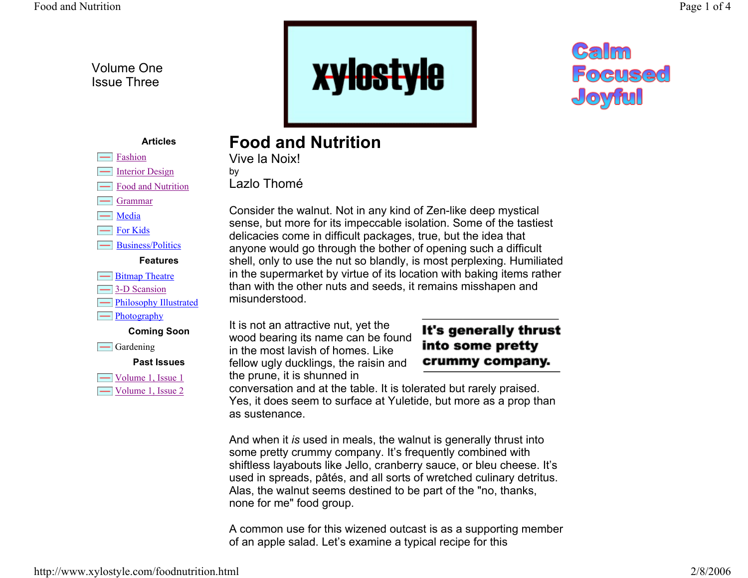Volume One Issue Three



# Calm Focused Joyful

### **Articles**

- Fashion
- $\boxed{\phantom{1}}$  Interior Design
- Food and Nutrition
- Grammar
- $\equiv$  Media
- For Kids

Business/Politics

#### **Features**

- **Example 1** Bitmap Theatre
- 3-D Scansion
- **FRIDER** Philosophy Illustrated
- $\boxed{\phantom{1}}$  Photography

**Coming Soon**

 $\equiv$  Gardening

**Past Issues**

 $\Box$  Volume 1, Issue 1 Volume 1, Issue 2 **Food and Nutrition**Vive la Noix!

by Lazlo Thomé

Consider the walnut. Not in any kind of Zen-like deep mystical sense, but more for its impeccable isolation. Some of the tastiest delicacies come in difficult packages, true, but the idea that anyone would go through the bother of opening such a difficult shell, only to use the nut so blandly, is most perplexing. Humiliated in the supermarket by virtue of its location with baking items rather than with the other nuts and seeds, it remains misshapen and misunderstood.

It is not an attractive nut, yet the wood bearing its name can be found in the most lavish of homes. Like fellow ugly ducklings, the raisin and the prune, it is shunned in

# It's generally thrust into some pretty crummy company.

conversation and at the table. It is tolerated but rarely praised. Yes, it does seem to surface at Yuletide, but more as a prop than as sustenance.

And when it *is* used in meals, the walnut is generally thrust into some pretty crummy company. It's frequently combined with shiftless layabouts like Jello, cranberry sauce, or bleu cheese. It's used in spreads, pâtés, and all sorts of wretched culinary detritus. Alas, the walnut seems destined to be part of the "no, thanks, none for me" food group.

A common use for this wizened outcast is as a supporting member of an apple salad. Let's examine a typical recipe for this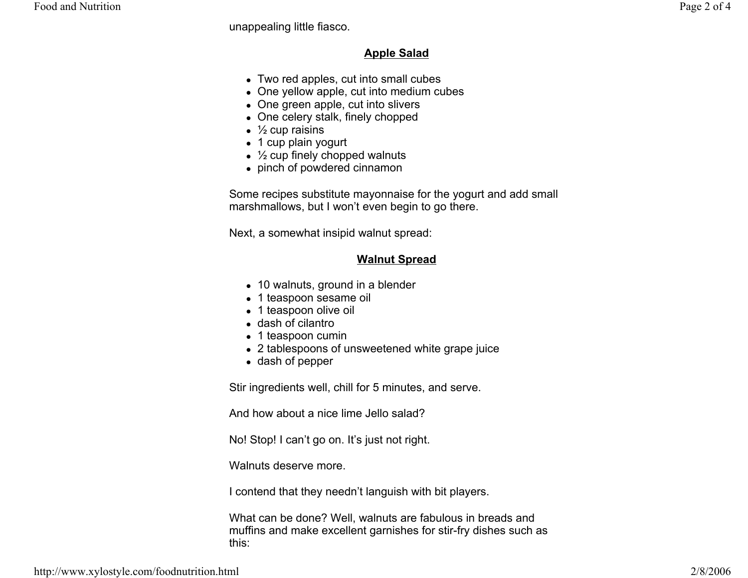unappealing little fiasco.

## **Apple Salad**

- $\bullet$  Two red apples, cut into small cubes
- One yellow apple, cut into medium cubes
- One green apple, cut into slivers
- One celery stalk, finely chopped
- $\frac{1}{2}$  cup raisins
- 1 cup plain yogurt
- $\frac{1}{2}$  cup finely chopped walnuts
- $\bullet\,$  pinch of powdered cinnamon

Some recipes substitute mayonnaise for the yogurt and add small marshmallows, but I won't even begin to go there.

Next, a somewhat insipid walnut spread:

# **Walnut Spread**

- 10 walnuts, ground in a blender
- 1 teaspoon sesame oil
- 1 teaspoon olive oil
- dash of cilantro
- 1 teaspoon cumin
- 2 tablespoons of unsweetened white grape juice
- dash of pepper

Stir ingredients well, chill for 5 minutes, and serve.

And how about a nice lime Jello salad?

No! Stop! I can't go on. It's just not right.

Walnuts deserve more.

I contend that they needn't languish with bit players.

What can be done? Well, walnuts are fabulous in breads and muffins and make excellent garnishes for stir-fry dishes such as this: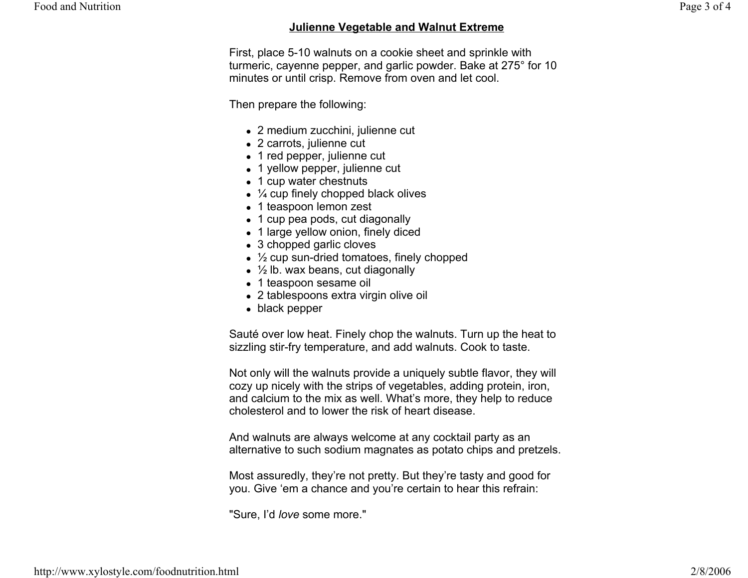### **Julienne Vegetable and Walnut Extreme**

First, place 5-10 walnuts on a cookie sheet and sprinkle with turmeric, cayenne pepper, and garlic powder. Bake at 275° for 10 minutes or until crisp. Remove from oven and let cool.

Then prepare the following:

- $\bullet$  2 medium zucchini, julienne cut
- $\bullet$  2 carrots, julienne cut
- 1 red pepper, julienne cut
- 1 yellow pepper, julienne cut
- 1 cup water chestnuts
- $\frac{1}{4}$  cup finely chopped black olives
- 1 teaspoon lemon zest
- 1 cup pea pods, cut diagonally
- 1 large yellow onion, finely diced
- $\bullet$  3 chopped garlic cloves
- $\frac{1}{2}$  cup sun-dried tomatoes, finely chopped
- $\frac{1}{2}$  lb. wax beans, cut diagonally
- 1 teaspoon sesame oil
- $\bullet~$  2 tablespoons extra virgin olive oil
- $\bullet\,$  black pepper

Sauté over low heat. Finely chop the walnuts. Turn up the heat to sizzling stir-fry temperature, and add walnuts. Cook to taste.

Not only will the walnuts provide a uniquely subtle flavor, they will cozy up nicely with the strips of vegetables, adding protein, iron, and calcium to the mix as well. What's more, they help to reduce cholesterol and to lower the risk of heart disease.

And walnuts are always welcome at any cocktail party as an alternative to such sodium magnates as potato chips and pretzels.

Most assuredly, they're not pretty. But they're tasty and good for you. Give 'em a chance and you're certain to hear this refrain:

"Sure, I'd *love* some more."